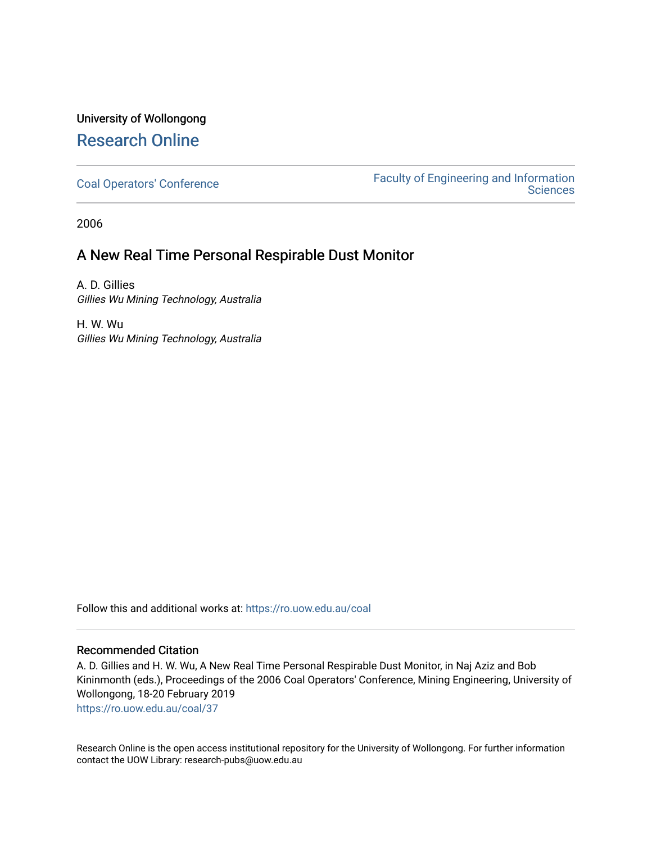# University of Wollongong [Research Online](https://ro.uow.edu.au/)

[Coal Operators' Conference](https://ro.uow.edu.au/coal) [Faculty of Engineering and Information](https://ro.uow.edu.au/eis)  **Sciences** 

2006

### A New Real Time Personal Respirable Dust Monitor

A. D. Gillies Gillies Wu Mining Technology, Australia

H. W. Wu Gillies Wu Mining Technology, Australia

Follow this and additional works at: [https://ro.uow.edu.au/coal](https://ro.uow.edu.au/coal?utm_source=ro.uow.edu.au%2Fcoal%2F37&utm_medium=PDF&utm_campaign=PDFCoverPages) 

### Recommended Citation

A. D. Gillies and H. W. Wu, A New Real Time Personal Respirable Dust Monitor, in Naj Aziz and Bob Kininmonth (eds.), Proceedings of the 2006 Coal Operators' Conference, Mining Engineering, University of Wollongong, 18-20 February 2019

[https://ro.uow.edu.au/coal/37](https://ro.uow.edu.au/coal/37?utm_source=ro.uow.edu.au%2Fcoal%2F37&utm_medium=PDF&utm_campaign=PDFCoverPages) 

Research Online is the open access institutional repository for the University of Wollongong. For further information contact the UOW Library: research-pubs@uow.edu.au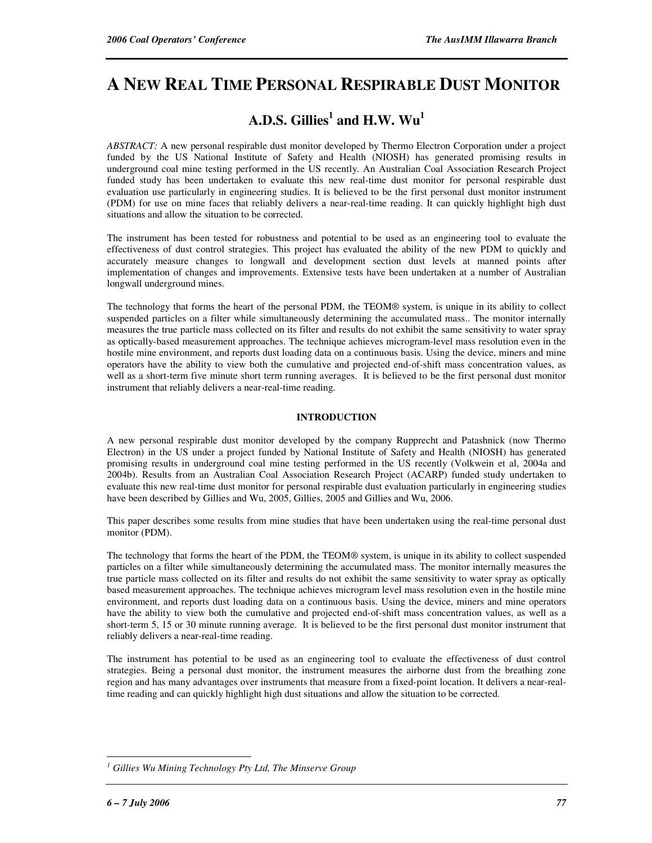# **A NEW REAL TIME PERSONAL RESPIRABLE DUST MONITOR**

# A.D.S. Gillies<sup>1</sup> and H.W.  $Wu<sup>1</sup>$

*ABSTRACT:* A new personal respirable dust monitor developed by Thermo Electron Corporation under a project funded by the US National Institute of Safety and Health (NIOSH) has generated promising results in underground coal mine testing performed in the US recently. An Australian Coal Association Research Project funded study has been undertaken to evaluate this new real-time dust monitor for personal respirable dust evaluation use particularly in engineering studies. It is believed to be the first personal dust monitor instrument (PDM) for use on mine faces that reliably delivers a near-real-time reading. It can quickly highlight high dust situations and allow the situation to be corrected.

The instrument has been tested for robustness and potential to be used as an engineering tool to evaluate the effectiveness of dust control strategies. This project has evaluated the ability of the new PDM to quickly and accurately measure changes to longwall and development section dust levels at manned points after implementation of changes and improvements. Extensive tests have been undertaken at a number of Australian longwall underground mines.

The technology that forms the heart of the personal PDM, the TEOM® system, is unique in its ability to collect suspended particles on a filter while simultaneously determining the accumulated mass.. The monitor internally measures the true particle mass collected on its filter and results do not exhibit the same sensitivity to water spray as optically-based measurement approaches. The technique achieves microgram-level mass resolution even in the hostile mine environment, and reports dust loading data on a continuous basis. Using the device, miners and mine operators have the ability to view both the cumulative and projected end-of-shift mass concentration values, as well as a short-term five minute short term running averages. It is believed to be the first personal dust monitor instrument that reliably delivers a near-real-time reading.

### **INTRODUCTION**

A new personal respirable dust monitor developed by the company Rupprecht and Patashnick (now Thermo Electron) in the US under a project funded by National Institute of Safety and Health (NIOSH) has generated promising results in underground coal mine testing performed in the US recently (Volkwein et al, 2004a and 2004b). Results from an Australian Coal Association Research Project (ACARP) funded study undertaken to evaluate this new real-time dust monitor for personal respirable dust evaluation particularly in engineering studies have been described by Gillies and Wu, 2005, Gillies, 2005 and Gillies and Wu, 2006.

This paper describes some results from mine studies that have been undertaken using the real-time personal dust monitor (PDM).

The technology that forms the heart of the PDM, the TEOM® system, is unique in its ability to collect suspended particles on a filter while simultaneously determining the accumulated mass. The monitor internally measures the true particle mass collected on its filter and results do not exhibit the same sensitivity to water spray as optically based measurement approaches. The technique achieves microgram level mass resolution even in the hostile mine environment, and reports dust loading data on a continuous basis. Using the device, miners and mine operators have the ability to view both the cumulative and projected end-of-shift mass concentration values, as well as a short-term 5, 15 or 30 minute running average. It is believed to be the first personal dust monitor instrument that reliably delivers a near-real-time reading.

The instrument has potential to be used as an engineering tool to evaluate the effectiveness of dust control strategies. Being a personal dust monitor, the instrument measures the airborne dust from the breathing zone region and has many advantages over instruments that measure from a fixed-point location. It delivers a near-realtime reading and can quickly highlight high dust situations and allow the situation to be corrected.

 $\overline{a}$ *1 Gillies Wu Mining Technology Pty Ltd, The Minserve Group*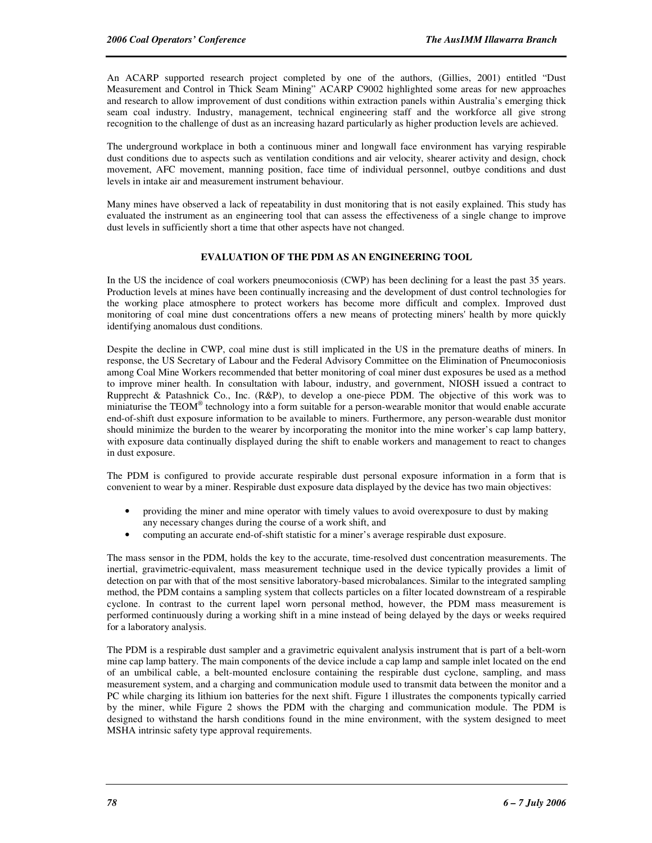An ACARP supported research project completed by one of the authors, (Gillies, 2001) entitled "Dust Measurement and Control in Thick Seam Mining" ACARP C9002 highlighted some areas for new approaches and research to allow improvement of dust conditions within extraction panels within Australia's emerging thick seam coal industry. Industry, management, technical engineering staff and the workforce all give strong recognition to the challenge of dust as an increasing hazard particularly as higher production levels are achieved.

The underground workplace in both a continuous miner and longwall face environment has varying respirable dust conditions due to aspects such as ventilation conditions and air velocity, shearer activity and design, chock movement, AFC movement, manning position, face time of individual personnel, outbye conditions and dust levels in intake air and measurement instrument behaviour.

Many mines have observed a lack of repeatability in dust monitoring that is not easily explained. This study has evaluated the instrument as an engineering tool that can assess the effectiveness of a single change to improve dust levels in sufficiently short a time that other aspects have not changed.

#### **EVALUATION OF THE PDM AS AN ENGINEERING TOOL**

In the US the incidence of coal workers pneumoconiosis (CWP) has been declining for a least the past 35 years. Production levels at mines have been continually increasing and the development of dust control technologies for the working place atmosphere to protect workers has become more difficult and complex. Improved dust monitoring of coal mine dust concentrations offers a new means of protecting miners' health by more quickly identifying anomalous dust conditions.

Despite the decline in CWP, coal mine dust is still implicated in the US in the premature deaths of miners. In response, the US Secretary of Labour and the Federal Advisory Committee on the Elimination of Pneumoconiosis among Coal Mine Workers recommended that better monitoring of coal miner dust exposures be used as a method to improve miner health. In consultation with labour, industry, and government, NIOSH issued a contract to Rupprecht & Patashnick Co., Inc. (R&P), to develop a one-piece PDM. The objective of this work was to miniaturise the TEOM® technology into a form suitable for a person-wearable monitor that would enable accurate end-of-shift dust exposure information to be available to miners. Furthermore, any person-wearable dust monitor should minimize the burden to the wearer by incorporating the monitor into the mine worker's cap lamp battery, with exposure data continually displayed during the shift to enable workers and management to react to changes in dust exposure.

The PDM is configured to provide accurate respirable dust personal exposure information in a form that is convenient to wear by a miner. Respirable dust exposure data displayed by the device has two main objectives:

- providing the miner and mine operator with timely values to avoid overexposure to dust by making any necessary changes during the course of a work shift, and
- computing an accurate end-of-shift statistic for a miner's average respirable dust exposure.

The mass sensor in the PDM, holds the key to the accurate, time-resolved dust concentration measurements. The inertial, gravimetric-equivalent, mass measurement technique used in the device typically provides a limit of detection on par with that of the most sensitive laboratory-based microbalances. Similar to the integrated sampling method, the PDM contains a sampling system that collects particles on a filter located downstream of a respirable cyclone. In contrast to the current lapel worn personal method, however, the PDM mass measurement is performed continuously during a working shift in a mine instead of being delayed by the days or weeks required for a laboratory analysis.

The PDM is a respirable dust sampler and a gravimetric equivalent analysis instrument that is part of a belt-worn mine cap lamp battery. The main components of the device include a cap lamp and sample inlet located on the end of an umbilical cable, a belt-mounted enclosure containing the respirable dust cyclone, sampling, and mass measurement system, and a charging and communication module used to transmit data between the monitor and a PC while charging its lithium ion batteries for the next shift. Figure 1 illustrates the components typically carried by the miner, while Figure 2 shows the PDM with the charging and communication module. The PDM is designed to withstand the harsh conditions found in the mine environment, with the system designed to meet MSHA intrinsic safety type approval requirements.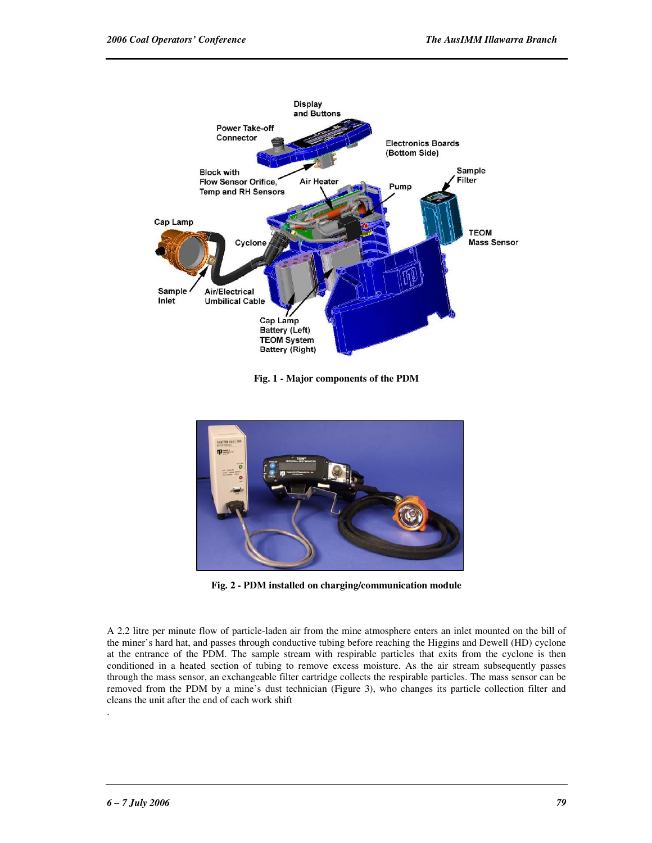

**Fig. 1 - Major components of the PDM** 



**Fig. 2 - PDM installed on charging/communication module** 

A 2.2 litre per minute flow of particle-laden air from the mine atmosphere enters an inlet mounted on the bill of the miner's hard hat, and passes through conductive tubing before reaching the Higgins and Dewell (HD) cyclone at the entrance of the PDM. The sample stream with respirable particles that exits from the cyclone is then conditioned in a heated section of tubing to remove excess moisture. As the air stream subsequently passes through the mass sensor, an exchangeable filter cartridge collects the respirable particles. The mass sensor can be removed from the PDM by a mine's dust technician (Figure 3), who changes its particle collection filter and cleans the unit after the end of each work shift

.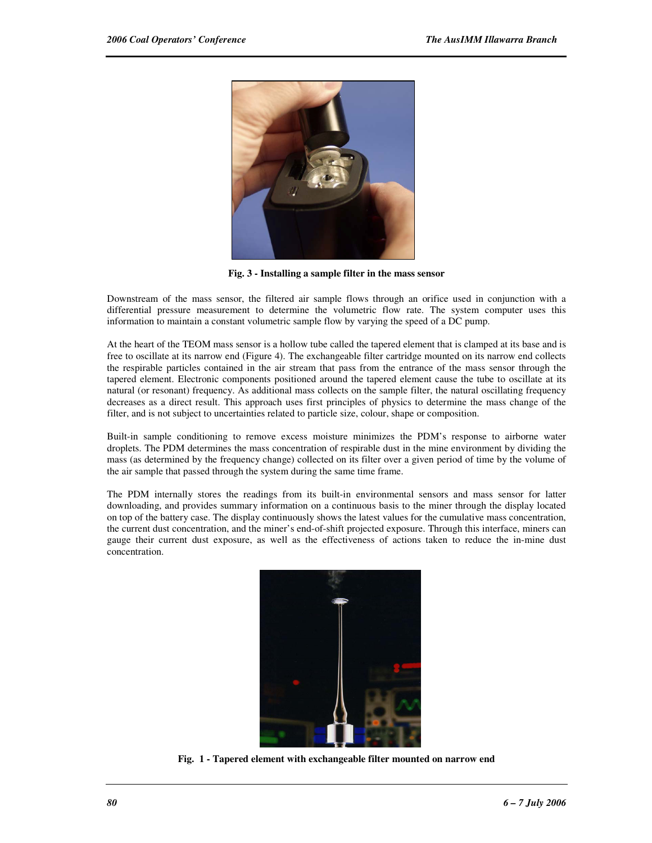

**Fig. 3 - Installing a sample filter in the mass sensor** 

Downstream of the mass sensor, the filtered air sample flows through an orifice used in conjunction with a differential pressure measurement to determine the volumetric flow rate. The system computer uses this information to maintain a constant volumetric sample flow by varying the speed of a DC pump.

At the heart of the TEOM mass sensor is a hollow tube called the tapered element that is clamped at its base and is free to oscillate at its narrow end (Figure 4). The exchangeable filter cartridge mounted on its narrow end collects the respirable particles contained in the air stream that pass from the entrance of the mass sensor through the tapered element. Electronic components positioned around the tapered element cause the tube to oscillate at its natural (or resonant) frequency. As additional mass collects on the sample filter, the natural oscillating frequency decreases as a direct result. This approach uses first principles of physics to determine the mass change of the filter, and is not subject to uncertainties related to particle size, colour, shape or composition.

Built-in sample conditioning to remove excess moisture minimizes the PDM's response to airborne water droplets. The PDM determines the mass concentration of respirable dust in the mine environment by dividing the mass (as determined by the frequency change) collected on its filter over a given period of time by the volume of the air sample that passed through the system during the same time frame.

The PDM internally stores the readings from its built-in environmental sensors and mass sensor for latter downloading, and provides summary information on a continuous basis to the miner through the display located on top of the battery case. The display continuously shows the latest values for the cumulative mass concentration, the current dust concentration, and the miner's end-of-shift projected exposure. Through this interface, miners can gauge their current dust exposure, as well as the effectiveness of actions taken to reduce the in-mine dust concentration.



**Fig. 1 - Tapered element with exchangeable filter mounted on narrow end**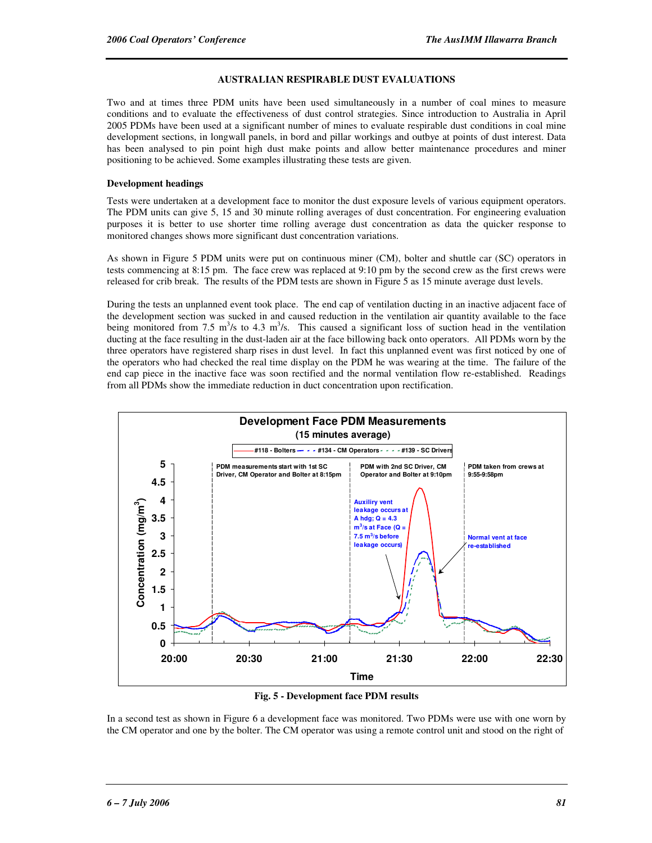#### **AUSTRALIAN RESPIRABLE DUST EVALUATIONS**

Two and at times three PDM units have been used simultaneously in a number of coal mines to measure conditions and to evaluate the effectiveness of dust control strategies. Since introduction to Australia in April 2005 PDMs have been used at a significant number of mines to evaluate respirable dust conditions in coal mine development sections, in longwall panels, in bord and pillar workings and outbye at points of dust interest. Data has been analysed to pin point high dust make points and allow better maintenance procedures and miner positioning to be achieved. Some examples illustrating these tests are given.

#### **Development headings**

Tests were undertaken at a development face to monitor the dust exposure levels of various equipment operators. The PDM units can give 5, 15 and 30 minute rolling averages of dust concentration. For engineering evaluation purposes it is better to use shorter time rolling average dust concentration as data the quicker response to monitored changes shows more significant dust concentration variations.

As shown in Figure 5 PDM units were put on continuous miner (CM), bolter and shuttle car (SC) operators in tests commencing at 8:15 pm. The face crew was replaced at 9:10 pm by the second crew as the first crews were released for crib break. The results of the PDM tests are shown in Figure 5 as 15 minute average dust levels.

During the tests an unplanned event took place. The end cap of ventilation ducting in an inactive adjacent face of the development section was sucked in and caused reduction in the ventilation air quantity available to the face being monitored from 7.5 m<sup>3</sup>/s to 4.3 m<sup>3</sup>/s. This caused a significant loss of suction head in the ventilation ducting at the face resulting in the dust-laden air at the face billowing back onto operators. All PDMs worn by the three operators have registered sharp rises in dust level. In fact this unplanned event was first noticed by one of the operators who had checked the real time display on the PDM he was wearing at the time. The failure of the end cap piece in the inactive face was soon rectified and the normal ventilation flow re-established. Readings from all PDMs show the immediate reduction in duct concentration upon rectification.



**Fig. 5 - Development face PDM results** 

In a second test as shown in Figure 6 a development face was monitored. Two PDMs were use with one worn by the CM operator and one by the bolter. The CM operator was using a remote control unit and stood on the right of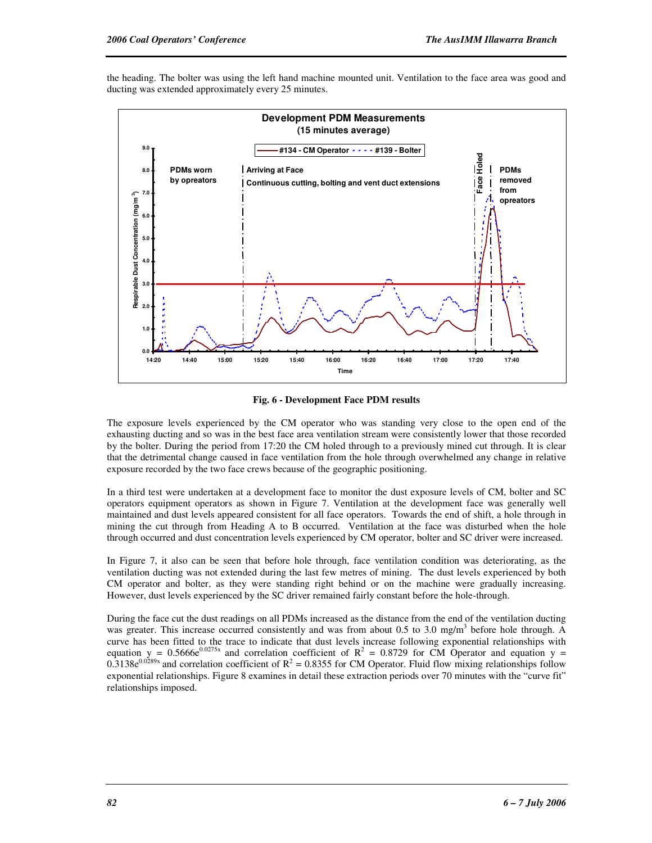the heading. The bolter was using the left hand machine mounted unit. Ventilation to the face area was good and ducting was extended approximately every 25 minutes.



**Fig. 6 - Development Face PDM results** 

The exposure levels experienced by the CM operator who was standing very close to the open end of the exhausting ducting and so was in the best face area ventilation stream were consistently lower that those recorded by the bolter. During the period from 17:20 the CM holed through to a previously mined cut through. It is clear that the detrimental change caused in face ventilation from the hole through overwhelmed any change in relative exposure recorded by the two face crews because of the geographic positioning.

In a third test were undertaken at a development face to monitor the dust exposure levels of CM, bolter and SC operators equipment operators as shown in Figure 7. Ventilation at the development face was generally well maintained and dust levels appeared consistent for all face operators. Towards the end of shift, a hole through in mining the cut through from Heading A to B occurred. Ventilation at the face was disturbed when the hole through occurred and dust concentration levels experienced by CM operator, bolter and SC driver were increased.

In Figure 7, it also can be seen that before hole through, face ventilation condition was deteriorating, as the ventilation ducting was not extended during the last few metres of mining. The dust levels experienced by both CM operator and bolter, as they were standing right behind or on the machine were gradually increasing. However, dust levels experienced by the SC driver remained fairly constant before the hole-through.

During the face cut the dust readings on all PDMs increased as the distance from the end of the ventilation ducting was greater. This increase occurred consistently and was from about 0.5 to 3.0 mg/m<sup>3</sup> before hole through. A curve has been fitted to the trace to indicate that dust levels increase following exponential relationships with equation y = 0.5666 $e^{0.0275x}$  and correlation coefficient of R<sup>2</sup> = 0.8729 for CM Operator and equation y =  $0.3138e^{0.0289x}$  and correlation coefficient of R<sup>2</sup> = 0.8355 for CM Operator. Fluid flow mixing relationships follow exponential relationships. Figure 8 examines in detail these extraction periods over 70 minutes with the "curve fit" relationships imposed.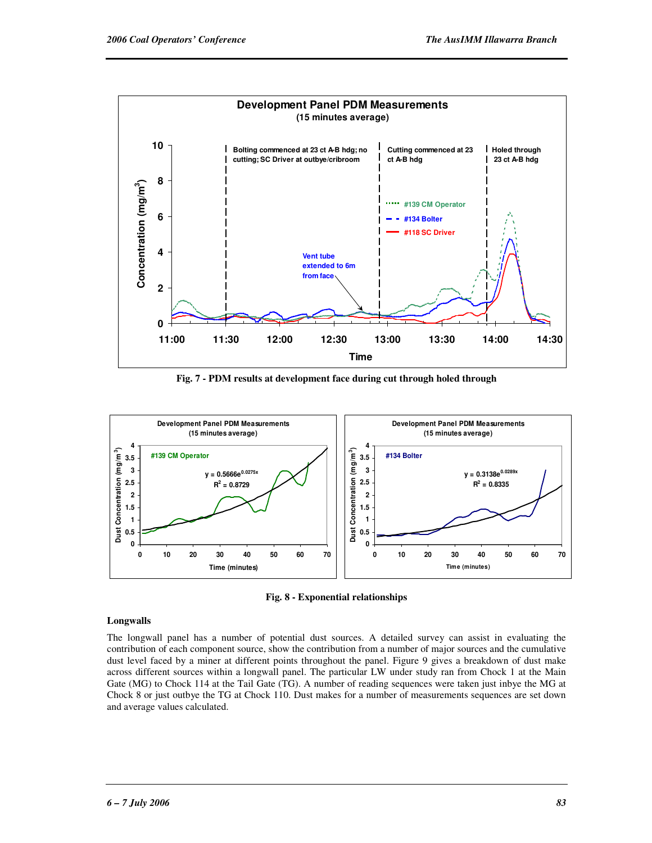

**Fig. 7 - PDM results at development face during cut through holed through** 



**Fig. 8 - Exponential relationships** 

#### **Longwalls**

The longwall panel has a number of potential dust sources. A detailed survey can assist in evaluating the contribution of each component source, show the contribution from a number of major sources and the cumulative dust level faced by a miner at different points throughout the panel. Figure 9 gives a breakdown of dust make across different sources within a longwall panel. The particular LW under study ran from Chock 1 at the Main Gate (MG) to Chock 114 at the Tail Gate (TG). A number of reading sequences were taken just inbye the MG at Chock 8 or just outbye the TG at Chock 110. Dust makes for a number of measurements sequences are set down and average values calculated.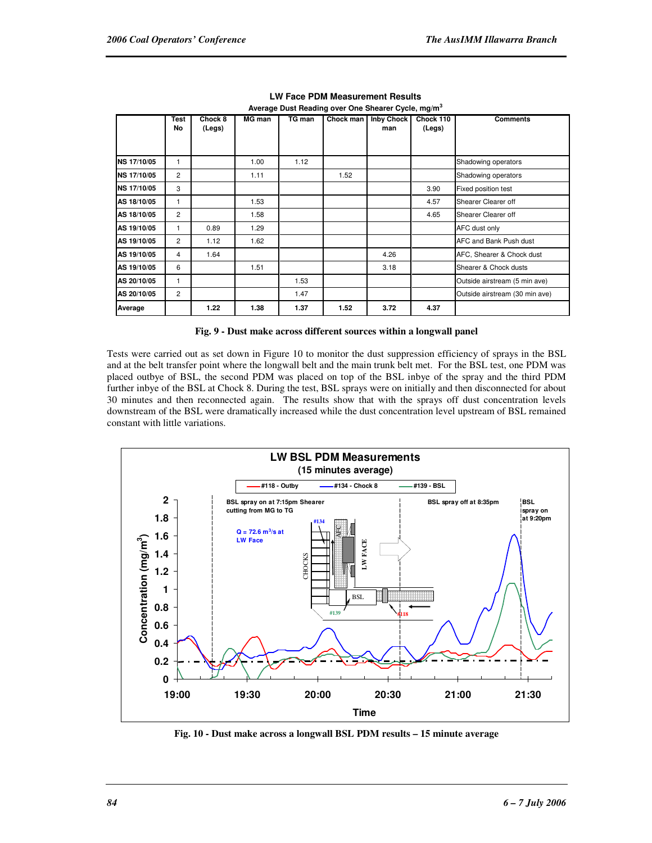|                    | Test           | Chock 8 | MG man | TG man | Chock man | <b>Inby Chock</b> | Chock 110 | <b>Comments</b>                |
|--------------------|----------------|---------|--------|--------|-----------|-------------------|-----------|--------------------------------|
|                    | No             | (Legs)  |        |        |           | man               | (Legs)    |                                |
|                    |                |         |        |        |           |                   |           |                                |
| <b>NS 17/10/05</b> | 1              |         | 1.00   | 1.12   |           |                   |           | Shadowing operators            |
| <b>NS 17/10/05</b> | $\overline{2}$ |         | 1.11   |        | 1.52      |                   |           | Shadowing operators            |
| <b>NS 17/10/05</b> | 3              |         |        |        |           |                   | 3.90      | Fixed position test            |
| AS 18/10/05        | 1              |         | 1.53   |        |           |                   | 4.57      | Shearer Clearer off            |
| AS 18/10/05        | $\overline{2}$ |         | 1.58   |        |           |                   | 4.65      | Shearer Clearer off            |
| AS 19/10/05        | 1              | 0.89    | 1.29   |        |           |                   |           | AFC dust only                  |
| AS 19/10/05        | $\overline{2}$ | 1.12    | 1.62   |        |           |                   |           | AFC and Bank Push dust         |
| AS 19/10/05        | $\overline{4}$ | 1.64    |        |        |           | 4.26              |           | AFC, Shearer & Chock dust      |
| AS 19/10/05        | 6              |         | 1.51   |        |           | 3.18              |           | Shearer & Chock dusts          |
| AS 20/10/05        | 1              |         |        | 1.53   |           |                   |           | Outside airstream (5 min ave)  |
| AS 20/10/05        | $\overline{2}$ |         |        | 1.47   |           |                   |           | Outside airstream (30 min ave) |
| Average            |                | 1.22    | 1.38   | 1.37   | 1.52      | 3.72              | 4.37      |                                |

**LW Face PDM Measurement Results Average Dust Reading over One Shearer Cycle, mg/m<sup>3</sup>**

**Fig. 9 - Dust make across different sources within a longwall panel** 

Tests were carried out as set down in Figure 10 to monitor the dust suppression efficiency of sprays in the BSL and at the belt transfer point where the longwall belt and the main trunk belt met. For the BSL test, one PDM was placed outbye of BSL, the second PDM was placed on top of the BSL inbye of the spray and the third PDM further inbye of the BSL at Chock 8. During the test, BSL sprays were on initially and then disconnected for about 30 minutes and then reconnected again. The results show that with the sprays off dust concentration levels downstream of the BSL were dramatically increased while the dust concentration level upstream of BSL remained constant with little variations.



**Fig. 10 - Dust make across a longwall BSL PDM results – 15 minute average**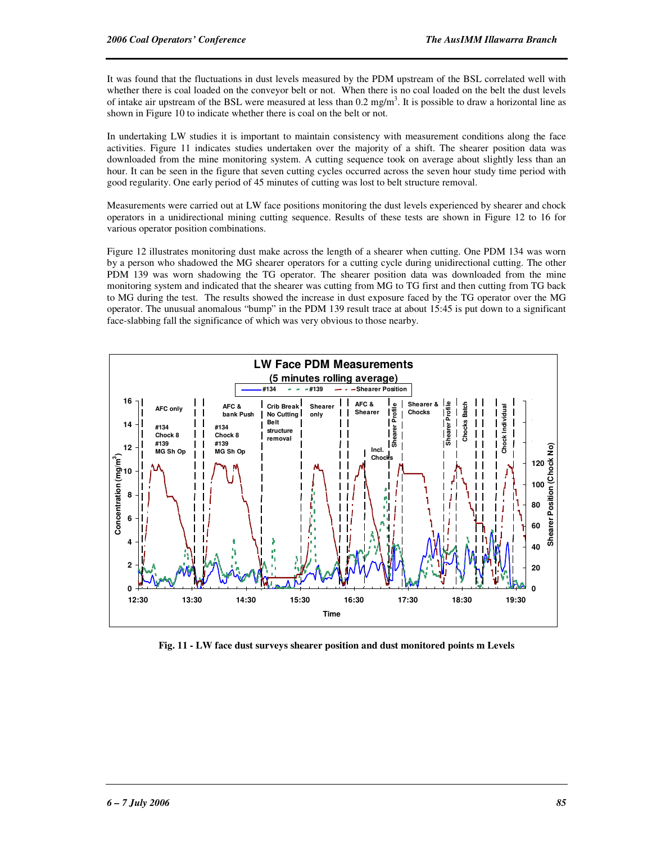It was found that the fluctuations in dust levels measured by the PDM upstream of the BSL correlated well with whether there is coal loaded on the conveyor belt or not. When there is no coal loaded on the belt the dust levels of intake air upstream of the BSL were measured at less than  $0.2 \text{ mg/m}^3$ . It is possible to draw a horizontal line as shown in Figure 10 to indicate whether there is coal on the belt or not.

In undertaking LW studies it is important to maintain consistency with measurement conditions along the face activities. Figure 11 indicates studies undertaken over the majority of a shift. The shearer position data was downloaded from the mine monitoring system. A cutting sequence took on average about slightly less than an hour. It can be seen in the figure that seven cutting cycles occurred across the seven hour study time period with good regularity. One early period of 45 minutes of cutting was lost to belt structure removal.

Measurements were carried out at LW face positions monitoring the dust levels experienced by shearer and chock operators in a unidirectional mining cutting sequence. Results of these tests are shown in Figure 12 to 16 for various operator position combinations.

Figure 12 illustrates monitoring dust make across the length of a shearer when cutting. One PDM 134 was worn by a person who shadowed the MG shearer operators for a cutting cycle during unidirectional cutting. The other PDM 139 was worn shadowing the TG operator. The shearer position data was downloaded from the mine monitoring system and indicated that the shearer was cutting from MG to TG first and then cutting from TG back to MG during the test. The results showed the increase in dust exposure faced by the TG operator over the MG operator. The unusual anomalous "bump" in the PDM 139 result trace at about 15:45 is put down to a significant face-slabbing fall the significance of which was very obvious to those nearby.



**Fig. 11 - LW face dust surveys shearer position and dust monitored points m Levels**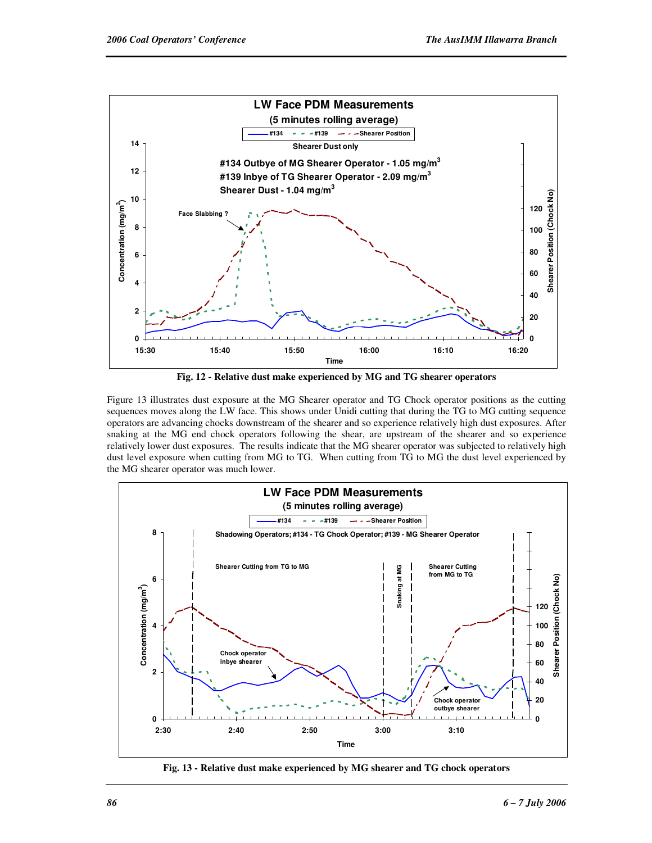

**Fig. 12 - Relative dust make experienced by MG and TG shearer operators** 

Figure 13 illustrates dust exposure at the MG Shearer operator and TG Chock operator positions as the cutting sequences moves along the LW face. This shows under Unidi cutting that during the TG to MG cutting sequence operators are advancing chocks downstream of the shearer and so experience relatively high dust exposures. After snaking at the MG end chock operators following the shear, are upstream of the shearer and so experience relatively lower dust exposures. The results indicate that the MG shearer operator was subjected to relatively high dust level exposure when cutting from MG to TG. When cutting from TG to MG the dust level experienced by the MG shearer operator was much lower.



**Fig. 13 - Relative dust make experienced by MG shearer and TG chock operators**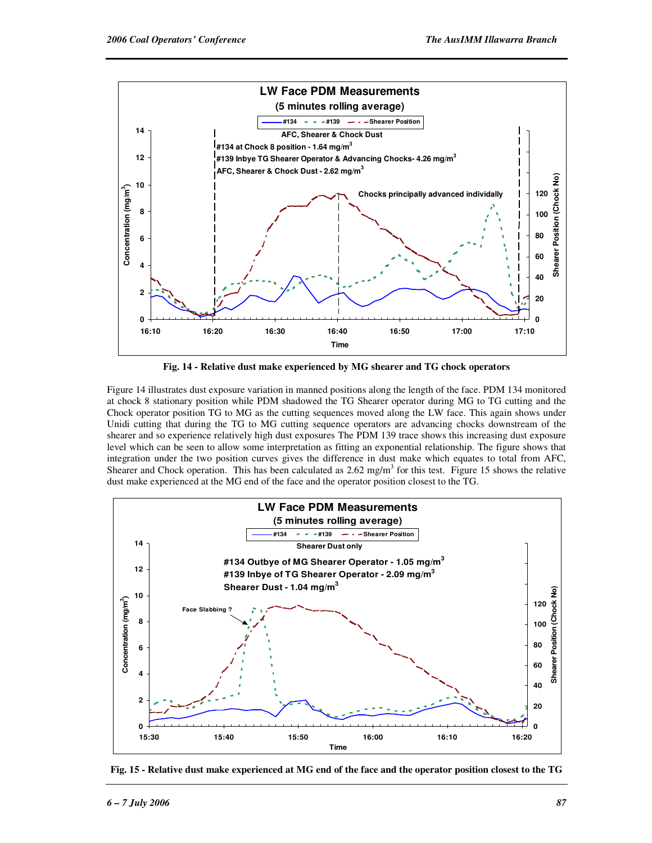

**Fig. 14 - Relative dust make experienced by MG shearer and TG chock operators** 

Figure 14 illustrates dust exposure variation in manned positions along the length of the face. PDM 134 monitored at chock 8 stationary position while PDM shadowed the TG Shearer operator during MG to TG cutting and the Chock operator position TG to MG as the cutting sequences moved along the LW face. This again shows under Unidi cutting that during the TG to MG cutting sequence operators are advancing chocks downstream of the shearer and so experience relatively high dust exposures The PDM 139 trace shows this increasing dust exposure level which can be seen to allow some interpretation as fitting an exponential relationship. The figure shows that integration under the two position curves gives the difference in dust make which equates to total from AFC, Shearer and Chock operation. This has been calculated as  $2.62$  mg/m<sup>3</sup> for this test. Figure 15 shows the relative dust make experienced at the MG end of the face and the operator position closest to the TG.



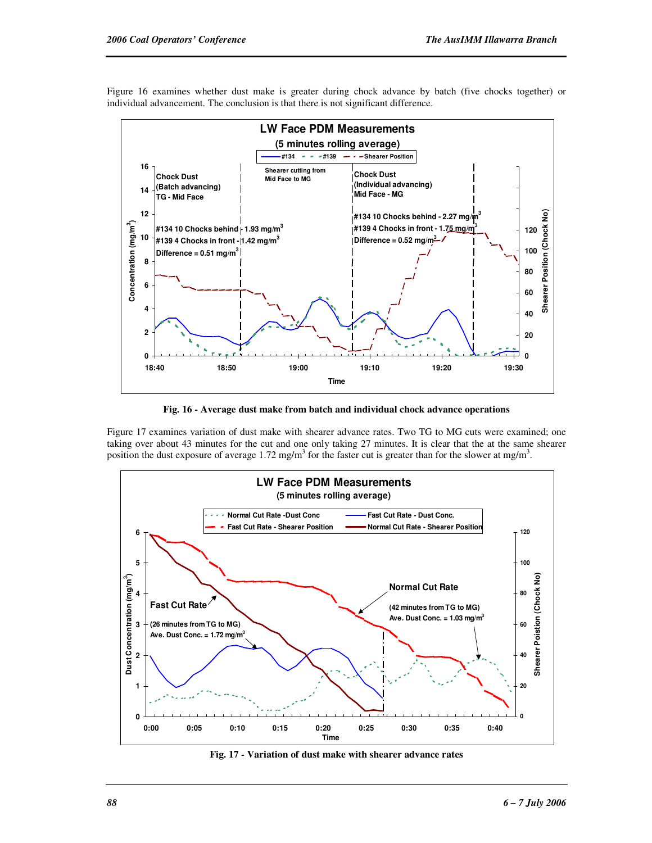Figure 16 examines whether dust make is greater during chock advance by batch (five chocks together) or individual advancement. The conclusion is that there is not significant difference.



**Fig. 16 - Average dust make from batch and individual chock advance operations** 

Figure 17 examines variation of dust make with shearer advance rates. Two TG to MG cuts were examined; one taking over about 43 minutes for the cut and one only taking 27 minutes. It is clear that the at the same shearer position the dust exposure of average 1.72 mg/m<sup>3</sup> for the faster cut is greater than for the slower at mg/m<sup>3</sup>.



**Fig. 17 - Variation of dust make with shearer advance rates**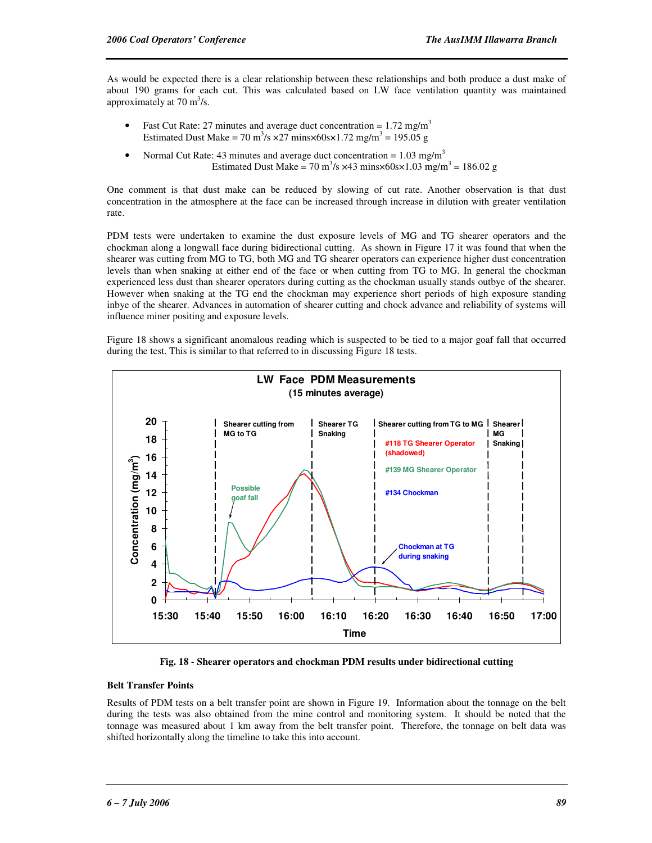As would be expected there is a clear relationship between these relationships and both produce a dust make of about 190 grams for each cut. This was calculated based on LW face ventilation quantity was maintained approximately at  $70 \text{ m}^3\text{/s.}$ 

- Fast Cut Rate: 27 minutes and average duct concentration =  $1.72 \text{ mg/m}^3$ Estimated Dust Make = 70 m<sup>3</sup>/s  $\times$ 27 mins $\times$ 60s $\times$ 1.72 mg/m<sup>3</sup> = 195.05 g
- Normal Cut Rate: 43 minutes and average duct concentration =  $1.03$  mg/m<sup>3</sup> Estimated Dust Make =  $70 \text{ m}^3/\text{s} \times 43 \text{ mins} \times 60 \text{s} \times 1.03 \text{ mg/m}^3 = 186.02 \text{ g}$

One comment is that dust make can be reduced by slowing of cut rate. Another observation is that dust concentration in the atmosphere at the face can be increased through increase in dilution with greater ventilation rate.

PDM tests were undertaken to examine the dust exposure levels of MG and TG shearer operators and the chockman along a longwall face during bidirectional cutting. As shown in Figure 17 it was found that when the shearer was cutting from MG to TG, both MG and TG shearer operators can experience higher dust concentration levels than when snaking at either end of the face or when cutting from TG to MG. In general the chockman experienced less dust than shearer operators during cutting as the chockman usually stands outbye of the shearer. However when snaking at the TG end the chockman may experience short periods of high exposure standing inbye of the shearer. Advances in automation of shearer cutting and chock advance and reliability of systems will influence miner positing and exposure levels.

Figure 18 shows a significant anomalous reading which is suspected to be tied to a major goaf fall that occurred during the test. This is similar to that referred to in discussing Figure 18 tests.



**Fig. 18 - Shearer operators and chockman PDM results under bidirectional cutting** 

#### **Belt Transfer Points**

Results of PDM tests on a belt transfer point are shown in Figure 19. Information about the tonnage on the belt during the tests was also obtained from the mine control and monitoring system. It should be noted that the tonnage was measured about 1 km away from the belt transfer point. Therefore, the tonnage on belt data was shifted horizontally along the timeline to take this into account.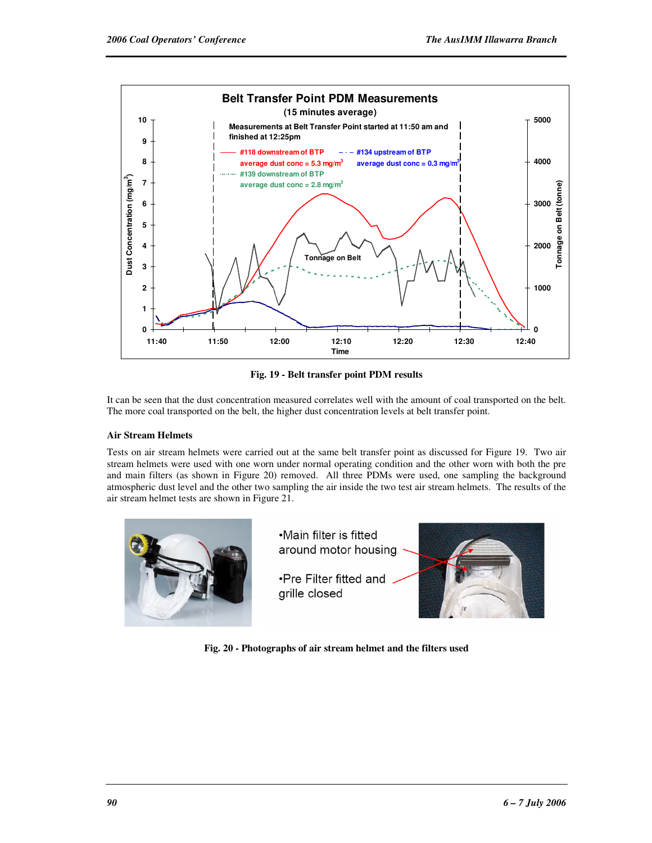

**Fig. 19 - Belt transfer point PDM results** 

It can be seen that the dust concentration measured correlates well with the amount of coal transported on the belt. The more coal transported on the belt, the higher dust concentration levels at belt transfer point.

#### **Air Stream Helmets**

Tests on air stream helmets were carried out at the same belt transfer point as discussed for Figure 19. Two air stream helmets were used with one worn under normal operating condition and the other worn with both the pre and main filters (as shown in Figure 20) removed. All three PDMs were used, one sampling the background atmospheric dust level and the other two sampling the air inside the two test air stream helmets. The results of the air stream helmet tests are shown in Figure 21.



.Main filter is fitted around motor housing

•Pre Filter fitted and grille closed



**Fig. 20 - Photographs of air stream helmet and the filters used**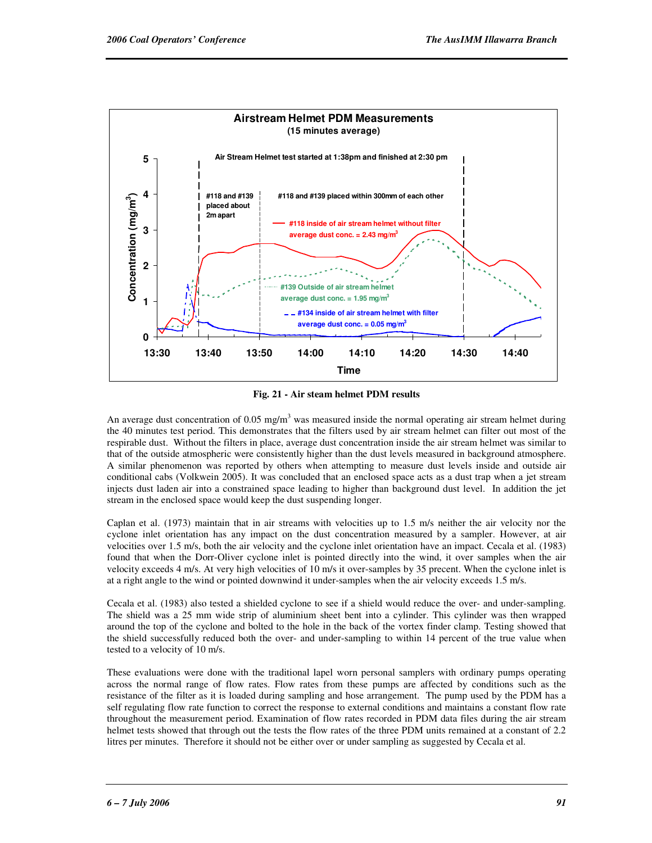

**Fig. 21 - Air steam helmet PDM results** 

An average dust concentration of 0.05 mg/m<sup>3</sup> was measured inside the normal operating air stream helmet during the 40 minutes test period. This demonstrates that the filters used by air stream helmet can filter out most of the respirable dust. Without the filters in place, average dust concentration inside the air stream helmet was similar to that of the outside atmospheric were consistently higher than the dust levels measured in background atmosphere. A similar phenomenon was reported by others when attempting to measure dust levels inside and outside air conditional cabs (Volkwein 2005). It was concluded that an enclosed space acts as a dust trap when a jet stream injects dust laden air into a constrained space leading to higher than background dust level. In addition the jet stream in the enclosed space would keep the dust suspending longer.

Caplan et al. (1973) maintain that in air streams with velocities up to 1.5 m/s neither the air velocity nor the cyclone inlet orientation has any impact on the dust concentration measured by a sampler. However, at air velocities over 1.5 m/s, both the air velocity and the cyclone inlet orientation have an impact. Cecala et al. (1983) found that when the Dorr-Oliver cyclone inlet is pointed directly into the wind, it over samples when the air velocity exceeds 4 m/s. At very high velocities of 10 m/s it over-samples by 35 precent. When the cyclone inlet is at a right angle to the wind or pointed downwind it under-samples when the air velocity exceeds 1.5 m/s.

Cecala et al. (1983) also tested a shielded cyclone to see if a shield would reduce the over- and under-sampling. The shield was a 25 mm wide strip of aluminium sheet bent into a cylinder. This cylinder was then wrapped around the top of the cyclone and bolted to the hole in the back of the vortex finder clamp. Testing showed that the shield successfully reduced both the over- and under-sampling to within 14 percent of the true value when tested to a velocity of 10 m/s.

These evaluations were done with the traditional lapel worn personal samplers with ordinary pumps operating across the normal range of flow rates. Flow rates from these pumps are affected by conditions such as the resistance of the filter as it is loaded during sampling and hose arrangement. The pump used by the PDM has a self regulating flow rate function to correct the response to external conditions and maintains a constant flow rate throughout the measurement period. Examination of flow rates recorded in PDM data files during the air stream helmet tests showed that through out the tests the flow rates of the three PDM units remained at a constant of 2.2 litres per minutes. Therefore it should not be either over or under sampling as suggested by Cecala et al.